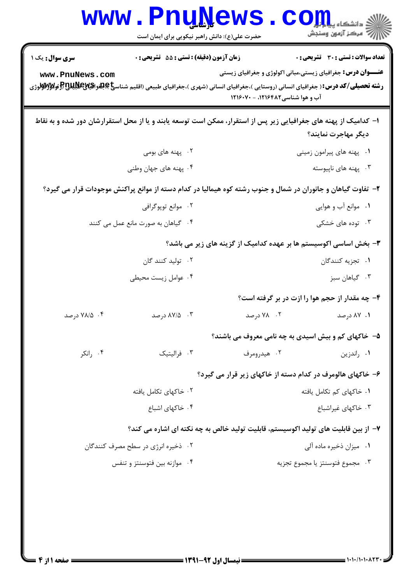|                                                                                                              | www.PnuNews.<br>حضرت علی(ع): دانش راهبر نیکویی برای ایمان است                                                                                                                                                          |                                 | م دانشگاه پ <b>یام کر</b><br>م<br>ے<br>پر آنہوں وسنجش                                                              |  |
|--------------------------------------------------------------------------------------------------------------|------------------------------------------------------------------------------------------------------------------------------------------------------------------------------------------------------------------------|---------------------------------|--------------------------------------------------------------------------------------------------------------------|--|
| <b>سری سوال :</b> یک ۱<br>www.PnuNews.com                                                                    | <b>زمان آزمون (دقیقه) : تستی : 55 تشریحی : 0</b><br><b>رشته تحصیلی/کد درس:</b> ( جغرافیای انسانی (روستایی )،جغرافیای انسانی (شهری )،جغرافیای طبیعی (اقلیم شناس <b>یاچهغواگیایالاتالاتو او لاواپایاتا تو</b> میتواگیایا | آب و هوا شناسی۱۲۱۶۴۸۲ - ۱۲۱۶۰۷۰ | <b>تعداد سوالات : تستی : 30 ٪ تشریحی : 0</b><br><b>عنـــوان درس:</b> جغرافیای زیستی،مبانی اکولوژی و جغرافیای زیستی |  |
|                                                                                                              | ا– کدامیک از پهنه های جغرافیایی زیر پس از استقرار، ممکن است توسعه یابند و یا از محل استقرارشان دور شده و به نقاط                                                                                                       |                                 | ديگر مهاجرت نمايند؟                                                                                                |  |
|                                                                                                              | ۰۲ پهنه های بومی                                                                                                                                                                                                       |                                 | ۰۱ پهنه های پیرامون زمینی                                                                                          |  |
|                                                                                                              | ۰۴ پهنه های جهان وطنی                                                                                                                                                                                                  |                                 | ۰۳ پهنه های ناپیوسته                                                                                               |  |
| ۲- تفاوت گیاهان و جانوران در شمال و جنوب رشته کوه هیمالیا در کدام دسته از موانع پراکنش موجودات قرار می گیرد؟ |                                                                                                                                                                                                                        |                                 |                                                                                                                    |  |
| ۰۲ موانع توپوگرافي                                                                                           |                                                                                                                                                                                                                        | ۰۱ موانع آب و هوایی             |                                                                                                                    |  |
|                                                                                                              | ۰۴ گیاهان به صورت مانع عمل می کنند                                                                                                                                                                                     |                                 | ۰۳ توده های خشکی                                                                                                   |  |
|                                                                                                              |                                                                                                                                                                                                                        |                                 | ۳- بخش اساسی اکوسیستم ها بر عهده کدامیک از گزینه های زیر می باشد؟                                                  |  |
| ۰۲ تولید کنند گان                                                                                            |                                                                                                                                                                                                                        | ۰۱ تجزیه کنندگان                |                                                                                                                    |  |
| ۰۴ عوامل زیست محیطی                                                                                          |                                                                                                                                                                                                                        | ۰۳ گیاهان سبز                   |                                                                                                                    |  |
|                                                                                                              |                                                                                                                                                                                                                        |                                 | ۴- چه مقدار از حجم هوا را ازت در بر گرفته است؟                                                                     |  |
| ۰۴ - ۷۸/۵ درصد                                                                                               | ۰۳ ـ ۸۷/۵ درصد                                                                                                                                                                                                         |                                 | ۰۱ ۸۷ درصد                                                                                                         |  |
|                                                                                                              |                                                                                                                                                                                                                        |                                 | ۵– خاکهای کم و بیش اسیدی به چه نامی معروف می باشند؟                                                                |  |
| ۰۴ رانکر                                                                                                     | ۰۳ فرالیتیک                                                                                                                                                                                                            | ۰۲ هیدرومرف                     | ۰۱ راندزین                                                                                                         |  |
|                                                                                                              |                                                                                                                                                                                                                        |                                 | ۶– خاکهای هالومرف در کدام دسته از خاکهای زیر قرار می گیرد؟                                                         |  |
|                                                                                                              | ۰۲ خاکهای تکامل یافته                                                                                                                                                                                                  | ۰۱ خاکهای کم تکامل یافته        |                                                                                                                    |  |
|                                                                                                              | ۰۴ خاکهای اشباع                                                                                                                                                                                                        | ۰۳ خاکهای غیراشباع              |                                                                                                                    |  |
|                                                                                                              | ۷– از بین قابلیت های تولید اکوسیستم، قابلیت تولید خالص به چه نکته ای اشاره می کند؟                                                                                                                                     |                                 |                                                                                                                    |  |
| ۰۲ ذخیره انرژی در سطح مصرف کنندگان                                                                           |                                                                                                                                                                                                                        | ۰۱ میزان ذخیره ماده آلی         |                                                                                                                    |  |
| ۰۴ موازنه بین فتوسنتز و تنفس                                                                                 |                                                                                                                                                                                                                        | ٠٣ مجموع فتوسنتز يا مجموع تجزيه |                                                                                                                    |  |
|                                                                                                              |                                                                                                                                                                                                                        |                                 |                                                                                                                    |  |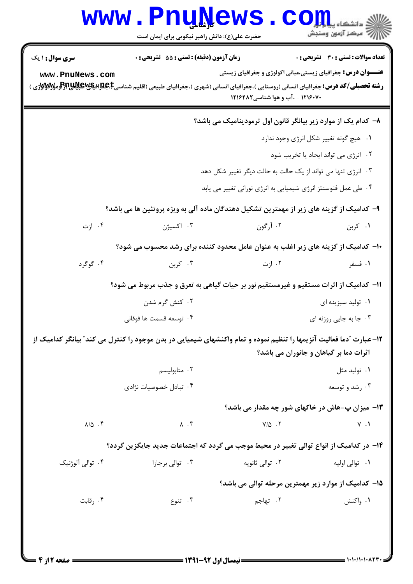|                                                                                          | www.PnuNews                                                                                                                                                                                 |                                                               | ي<br>ي دانشڪاه پي <mark>اپليا</mark><br>أأأ " مركز آزمون وسنجش |  |  |  |
|------------------------------------------------------------------------------------------|---------------------------------------------------------------------------------------------------------------------------------------------------------------------------------------------|---------------------------------------------------------------|----------------------------------------------------------------|--|--|--|
|                                                                                          | حضرت علی(ع): دانش راهبر نیکویی برای ایمان است                                                                                                                                               |                                                               |                                                                |  |  |  |
| <b>سری سوال : ۱ یک</b>                                                                   | زمان آزمون (دقيقه) : تستى : 55 - تشريحي : 0                                                                                                                                                 |                                                               | <b>تعداد سوالات : تستی : 30 ٪ تشریحی : 0</b>                   |  |  |  |
| www.PnuNews.com                                                                          | <b>عنـــوان درس:</b> جغرافیای زیستی،مبانی اکولوژی و جغرافیای زیستی                                                                                                                          |                                                               |                                                                |  |  |  |
|                                                                                          | <b>رشته تحصیلی/کد درس:</b> جغرافیای انسانی (روستایی )،جغرافیای انسانی (شهری )،جغرافیای طبیعی (اقلیم شناسی <b>Eبجلزافیگلاناتیاتیاتیاتیاتیاتی به است</b><br>۱۲۱۶۰۷۰ - ،آب و هوا شناسی ۱۲۱۶۴۸۲ |                                                               |                                                                |  |  |  |
|                                                                                          |                                                                                                                                                                                             |                                                               |                                                                |  |  |  |
|                                                                                          |                                                                                                                                                                                             | ۸– کدام یک از موارد زیر بیانگر قانون اول ترمودینامیک می باشد؟ |                                                                |  |  |  |
|                                                                                          |                                                                                                                                                                                             |                                                               | ٠١ هيچ گونه تغيير شكل انرژي وجود ندارد                         |  |  |  |
|                                                                                          |                                                                                                                                                                                             |                                                               | ٠٢ انرژى مى تواند ايحاد يا تخريب شود                           |  |  |  |
| ۰۳ انرژی تنها می تواند از یک حالت به حالت دیگر تغییر شکل دهد                             |                                                                                                                                                                                             |                                                               |                                                                |  |  |  |
| ۰۴ طی عمل فتوسنتز انرژی شیمیایی به انرژی نورانی تغییر می یابد                            |                                                                                                                                                                                             |                                                               |                                                                |  |  |  |
| ۹- کدامیک از گزینه های زیر از مهمترین تشکیل دهندگان ماده آلی به ویژه پروتئین ها می باشد؟ |                                                                                                                                                                                             |                                                               |                                                                |  |  |  |
| ۰۴ ازت                                                                                   | ۰۳ اکسیژن                                                                                                                                                                                   | ۰۲ آرگون                                                      | ۰۱ کربن                                                        |  |  |  |
|                                                                                          | <b>۱۰</b> - کدامیک از گزینه های زیر اغلب به عنوان عامل محدود کننده برای رشد محسوب می شود؟                                                                                                   |                                                               |                                                                |  |  |  |
| ۰۴ گوگرد                                                                                 | ۰۳ کربن                                                                                                                                                                                     | ۰۲ ازت                                                        | ۰۱ فسفر                                                        |  |  |  |
|                                                                                          | 11- کدامیک از اثرات مستقیم و غیرمستقیم نور بر حیات گیاهی به تعرق و جذب مربوط می شود؟                                                                                                        |                                                               |                                                                |  |  |  |
|                                                                                          | ۰۲ کنش گرم شدن                                                                                                                                                                              |                                                               | ۰۱ تولید سبزینه ای                                             |  |  |  |
|                                                                                          |                                                                                                                                                                                             |                                                               |                                                                |  |  |  |
| ۰۳ جا به جایی روزنه ای<br>۰۴ توسعه قسمت ها فوقانی                                        |                                                                                                                                                                                             |                                                               |                                                                |  |  |  |
|                                                                                          | 1۲–عبارت "دما فعالیت آنزیمها را تنظیم نموده و تمام واکنشهای شیمیایی در بدن موجود را کنترل می کند" بیانگر کدامیک از                                                                          |                                                               | اثرات دما بر گیاهان و جانوران می باشد؟                         |  |  |  |
|                                                                                          |                                                                                                                                                                                             |                                                               |                                                                |  |  |  |
|                                                                                          | ۰۲ متابوليسم                                                                                                                                                                                |                                                               | ۰۱ تولید مثل                                                   |  |  |  |
|                                                                                          | ۰۴ تبادل خصوصیات نژادی                                                                                                                                                                      |                                                               | ۰۳ رشد و توسعه                                                 |  |  |  |
|                                                                                          |                                                                                                                                                                                             |                                                               | ۱۳- میزان پ-هاش در خاکهای شور چه مقدار می باشد؟                |  |  |  |
| $\lambda/\Delta$ .                                                                       | $\Lambda$ . $\Upsilon$                                                                                                                                                                      | $Y/\Delta$ .                                                  | $Y \cdot 1$                                                    |  |  |  |
| ۱۴– در کدامیک از انواع توالی تغییر در محیط موجب می گردد که اجتماعات جدید جایگزین گردد؟   |                                                                                                                                                                                             |                                                               |                                                                |  |  |  |
| ۰۴ توالی آلوژنیک                                                                         | ۰۳ توالی برجازا                                                                                                                                                                             | ۲. توالي ثانويه                                               | ۰۱ توالی اولیه                                                 |  |  |  |
|                                                                                          |                                                                                                                                                                                             |                                                               | ۱۵– کدامیک از موارد زیر مهمترین مرحله توالی می باشد؟           |  |  |  |
| ۰۴ رقابت                                                                                 | ۰۳ تنوع                                                                                                                                                                                     | ۰۲ تهاجم                                                      | ۰۱ واکنش                                                       |  |  |  |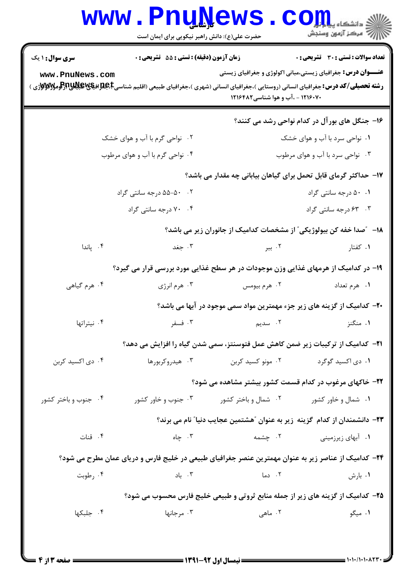|                                                                                                     | <b>www.PnuNews</b><br>حضرت علی(ع): دانش راهبر نیکویی برای ایمان است |                                           | أأأأ مركز آزمون وسنجش                                                                                              |  |
|-----------------------------------------------------------------------------------------------------|---------------------------------------------------------------------|-------------------------------------------|--------------------------------------------------------------------------------------------------------------------|--|
| <b>سری سوال : ۱ یک</b><br>www.PnuNews.com                                                           | زمان آزمون (دقیقه) : تستی : 55 گشریحی : 0                           | ۱۲۱۶۰۷۰ - ،آب و هوا شناسی۱۲۱۶۴۸۲          | <b>تعداد سوالات : تستي : 30 ٪ تشريحي : 0</b><br><b>عنـــوان درس:</b> جغرافیای زیستی،مبانی اکولوژی و جغرافیای زیستی |  |
|                                                                                                     |                                                                     |                                           | ۱۶- جنگل های بور آل در کدام نواحی رشد می کنند؟                                                                     |  |
|                                                                                                     | ۰۲ نواحی گرم با آب و هوای خشک                                       |                                           | ۰۱ نواحی سرد با آب و هوای خشک                                                                                      |  |
|                                                                                                     | ۰۴ نواحی گرم با آب و هوای مرطوب                                     |                                           | ۰۳ نواحی سرد با آب و هوای مرطوب                                                                                    |  |
|                                                                                                     |                                                                     |                                           | ۱۷– حداکثر گرمای قابل تحمل برای گیاهان بیابانی چه مقدار می باشد؟                                                   |  |
|                                                                                                     | ۰۲ - ۵۰-۵۵ درجه سانتی گراد                                          |                                           | ۰.۱ ۵۰ درجه سانتی گراد                                                                                             |  |
|                                                                                                     | ۰۴ . ۷۰ درجه سانتی گراد                                             |                                           | ۰۳ ـ ۶۳ درجه سانتی گراد                                                                                            |  |
|                                                                                                     |                                                                     |                                           | ۱۸− ″صدا خفه کن بیولوژیکی″ از مشخصات کدامیک از جانوران زیر می باشد؟                                                |  |
| ۰۴ پاندا                                                                                            | ۰۳ جغد                                                              | ۰۲ ببر                                    | ۰۱ کفتار                                                                                                           |  |
|                                                                                                     |                                                                     |                                           | ۱۹- در کدامیک از هرمهای غذایی وزن موجودات در هر سطح غذایی مورد بررسی قرار می گیرد؟                                 |  |
| ۰۴ هرم گیاهی                                                                                        | ۰۳ هرم انرژي                                                        | ۰۲ هرم بیومس                              | ۰۱ هرم تعداد                                                                                                       |  |
|                                                                                                     |                                                                     |                                           | +۲- کدامیک از گزینه های زیر جزء مهمترین مواد سمی موجود در آبها می باشد؟                                            |  |
| ۰۴ نیتراتها                                                                                         |                                                                     | ۲ سدیم <b>برای تاریخ است</b> به سنقر      | ۰۱ منگنز                                                                                                           |  |
|                                                                                                     |                                                                     |                                           | <b>۲۱</b> – کدامیک از ترکیبات زیر ضمن کاهش عمل فتوسنتز، سمی شدن گیاه را افزایش می دهد؟                             |  |
| ۰۴ دی اکسید کربن                                                                                    | ۰۳ هیدروکربورها                                                     | ۰۱ دی اکسید گوگرد مستان ۲۰ مونو کسید کربن |                                                                                                                    |  |
|                                                                                                     |                                                                     |                                           | ۲۲- خاکهای مرغوب در کدام قسمت کشور بیشتر مشاهده می شود؟                                                            |  |
| ۰۴ جنوب و باختر کشور                                                                                | ۰۳ جنوب و خاور کشور                                                 | ۰۲ شمال و باختر کشور                      | ۰۱ شمال و خاور کشور                                                                                                |  |
|                                                                                                     |                                                                     |                                           | ٢٣- دانشمندان از کدام گزینه زیر به عنوان "هشتمین عجایب دنیا" نام می برند؟                                          |  |
| ۰۴ قنات                                                                                             | ۰۳ چاه                                                              | ۰۲ چشمه                                   | ۰۱ آبهای زیرزمینی                                                                                                  |  |
| ۲۴– کدامیک از عناصر زیر به عنوان مهمترین عنصر جغرافیای طبیعی در خلیج فارس و دریای عمان مطرح می شود؟ |                                                                     |                                           |                                                                                                                    |  |
| ۰۴ رطوبت                                                                                            | ۰۳ باد                                                              | ۰۲ دما                                    | ۰۱ بارش                                                                                                            |  |
| ۲۵- کدامیک از گزینه های زیر از جمله منابع ثروتی و طبیعی خلیج فارس محسوب می شود؟                     |                                                                     |                                           |                                                                                                                    |  |
| ۰۴ جلبکها                                                                                           | ۰۳ مرجانها                                                          | ۲. ماهی                                   | ۰۱ میگو                                                                                                            |  |
|                                                                                                     |                                                                     |                                           |                                                                                                                    |  |

 $\blacksquare$  ) • ) • / ) • ) •  $\wedge$  ۲۲